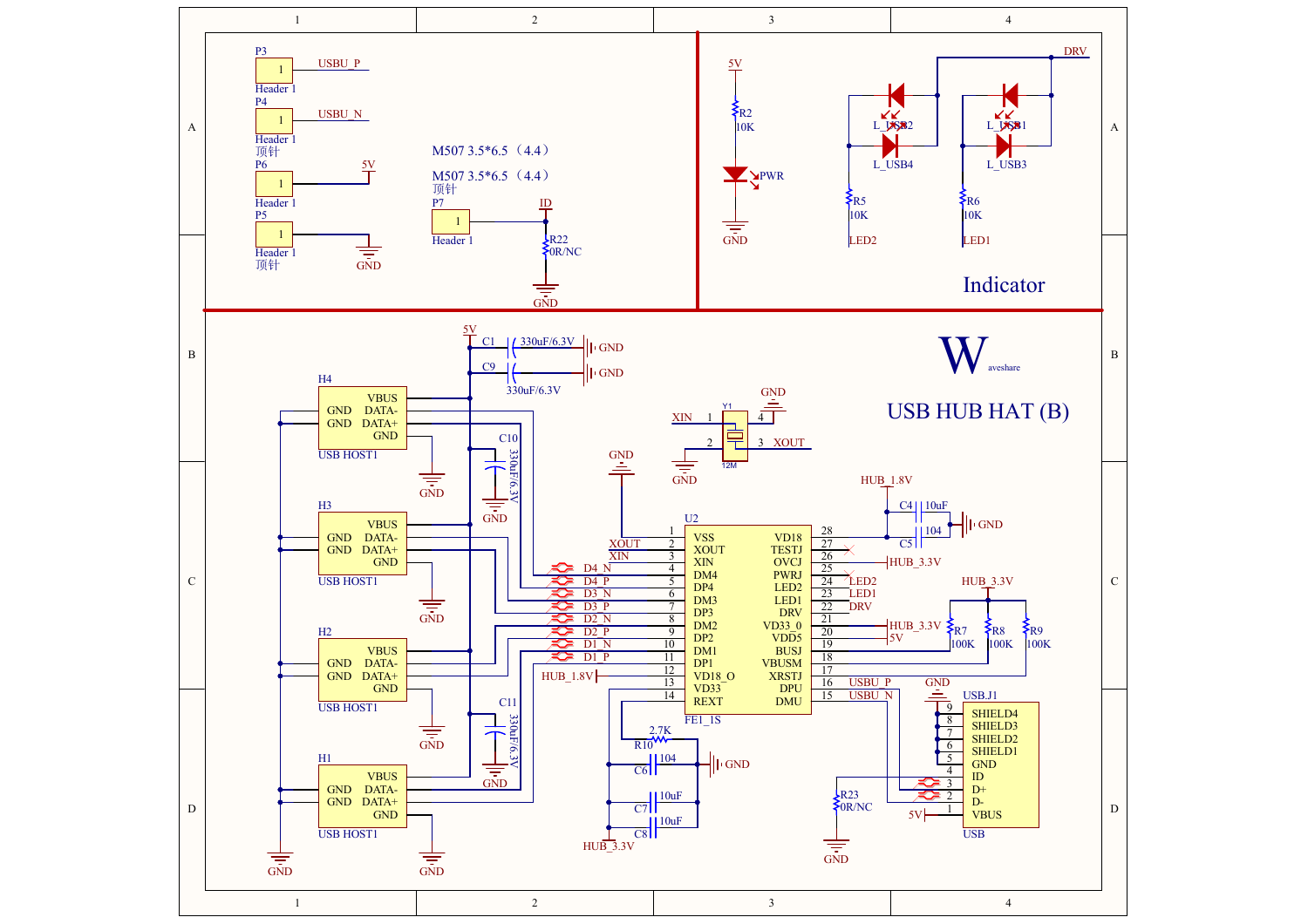